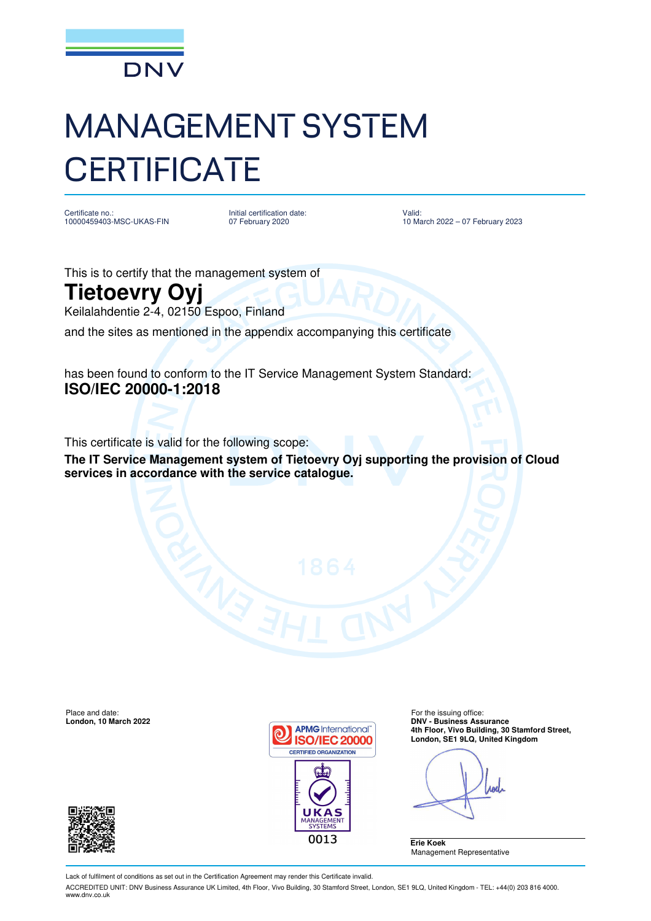

## MANAGEMENT SYSTEM **CERTIFICATE**

Certificate no. 10000459403-MSC-UKAS-FIN Initial certification date: 07 February 2020

Valid: 10 March 2022 – 07 February 2023

This is to certify that the management system of

## **Tietoevry Oyj**

Keilalahdentie 2-4, 02150 Espoo, Finland

and the sites as mentioned in the appendix accompanying this certificate

has been found to conform to the IT Service Management System Standard: **ISO/IEC 20000-1:2018**

This certificate is valid for the following scope:

**The IT Service Management system of Tietoevry Oyj supporting the provision of Cloud services in accordance with the service catalogue.** 

Place and date: For the issuing office:<br> **Example 2008 Condon, 10 March 2022 Condon, 10 March 2022 Condon, 10 March 2022** 





**DNV - Business Assurance**<br>**APMG** International **Ath Floor Vive Building 30 4th Floor, Vivo Building, 30 Stamford Street, London, SE1 9LQ, United Kingdom** 

Aod

**Erie Koek**  Management Representative

Lack of fulfilment of conditions as set out in the Certification Agreement may render this Certificate invalid.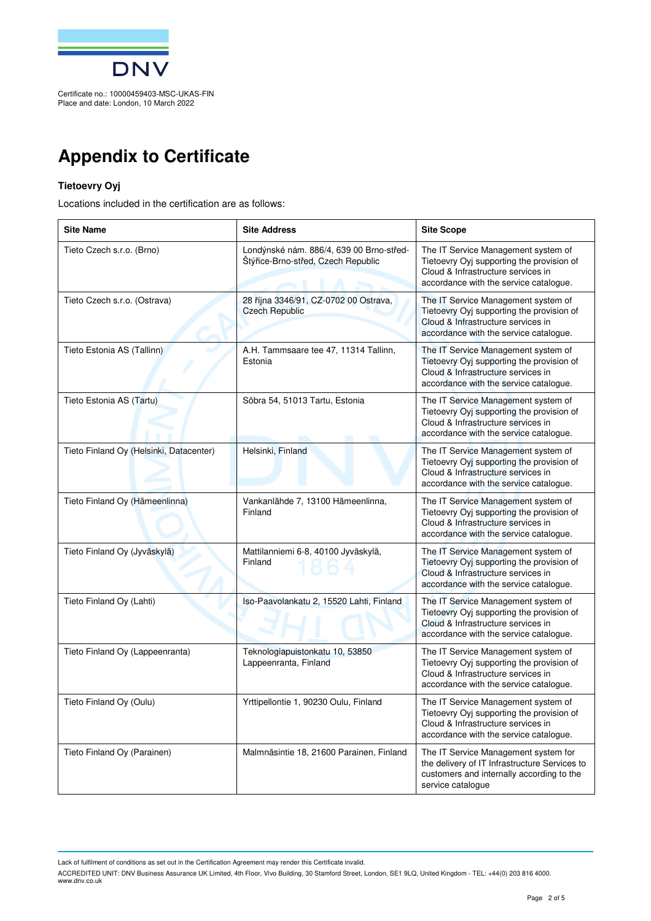

## **Appendix to Certificate**

## **Tietoevry Oyj**

Locations included in the certification are as follows:

| <b>Site Name</b>                        | <b>Site Address</b>                                                            | <b>Site Scope</b>                                                                                                                                                |
|-----------------------------------------|--------------------------------------------------------------------------------|------------------------------------------------------------------------------------------------------------------------------------------------------------------|
| Tieto Czech s.r.o. (Brno)               | Londýnské nám. 886/4, 639 00 Brno-střed-<br>Štýřice-Brno-střed, Czech Republic | The IT Service Management system of<br>Tietoevry Oyj supporting the provision of<br>Cloud & Infrastructure services in<br>accordance with the service catalogue. |
| Tieto Czech s.r.o. (Ostrava)            | 28 října 3346/91, CZ-0702 00 Ostrava,<br><b>Czech Republic</b>                 | The IT Service Management system of<br>Tietoevry Oyj supporting the provision of<br>Cloud & Infrastructure services in<br>accordance with the service catalogue. |
| Tieto Estonia AS (Tallinn)              | A.H. Tammsaare tee 47, 11314 Tallinn,<br>Estonia                               | The IT Service Management system of<br>Tietoevry Oyj supporting the provision of<br>Cloud & Infrastructure services in<br>accordance with the service catalogue. |
| Tieto Estonia AS (Tartu)                | Söbra 54, 51013 Tartu, Estonia                                                 | The IT Service Management system of<br>Tietoevry Oyj supporting the provision of<br>Cloud & Infrastructure services in<br>accordance with the service catalogue. |
| Tieto Finland Oy (Helsinki, Datacenter) | Helsinki, Finland                                                              | The IT Service Management system of<br>Tietoevry Oyj supporting the provision of<br>Cloud & Infrastructure services in<br>accordance with the service catalogue. |
| Tieto Finland Oy (Hämeenlinna)          | Vankanlähde 7, 13100 Hämeenlinna,<br>Finland                                   | The IT Service Management system of<br>Tietoevry Oyj supporting the provision of<br>Cloud & Infrastructure services in<br>accordance with the service catalogue. |
| Tieto Finland Oy (Jyväskylä)            | Mattilanniemi 6-8, 40100 Jyväskylä,<br>Finland                                 | The IT Service Management system of<br>Tietoevry Oyj supporting the provision of<br>Cloud & Infrastructure services in<br>accordance with the service catalogue. |
| Tieto Finland Oy (Lahti)                | Iso-Paavolankatu 2, 15520 Lahti, Finland                                       | The IT Service Management system of<br>Tietoevry Oyj supporting the provision of<br>Cloud & Infrastructure services in<br>accordance with the service catalogue. |
| Tieto Finland Oy (Lappeenranta)         | Teknologiapuistonkatu 10, 53850<br>Lappeenranta, Finland                       | The IT Service Management system of<br>Tietoevry Oyj supporting the provision of<br>Cloud & Infrastructure services in<br>accordance with the service catalogue. |
| Tieto Finland Oy (Oulu)                 | Yrttipellontie 1, 90230 Oulu, Finland                                          | The IT Service Management system of<br>Tietoevry Oyj supporting the provision of<br>Cloud & Infrastructure services in<br>accordance with the service catalogue. |
| Tieto Finland Oy (Parainen)             | Malmnäsintie 18, 21600 Parainen, Finland                                       | The IT Service Management system for<br>the delivery of IT Infrastructure Services to<br>customers and internally according to the<br>service catalogue          |

Lack of fulfilment of conditions as set out in the Certification Agreement may render this Certificate invalid.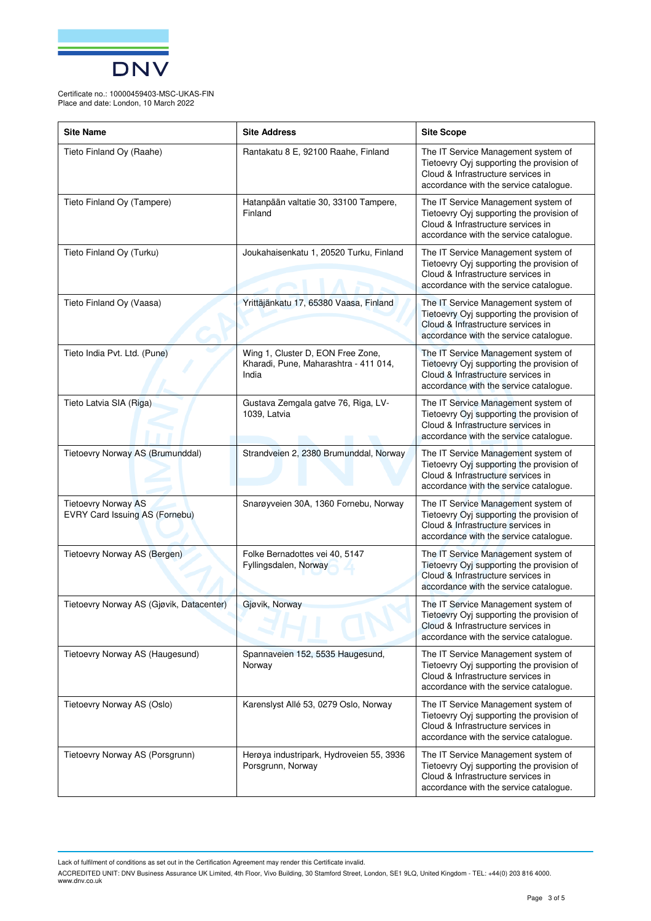

Certificate no.: 10000459403-MSC-UKAS-FIN Place and date: London, 10 March 2022

| <b>Site Name</b>                                             | <b>Site Address</b>                                                                 | <b>Site Scope</b>                                                                                                                                                |
|--------------------------------------------------------------|-------------------------------------------------------------------------------------|------------------------------------------------------------------------------------------------------------------------------------------------------------------|
| Tieto Finland Oy (Raahe)                                     | Rantakatu 8 E, 92100 Raahe, Finland                                                 | The IT Service Management system of<br>Tietoevry Oyj supporting the provision of<br>Cloud & Infrastructure services in<br>accordance with the service catalogue. |
| Tieto Finland Oy (Tampere)                                   | Hatanpään valtatie 30, 33100 Tampere,<br>Finland                                    | The IT Service Management system of<br>Tietoevry Oyj supporting the provision of<br>Cloud & Infrastructure services in<br>accordance with the service catalogue. |
| Tieto Finland Oy (Turku)                                     | Joukahaisenkatu 1, 20520 Turku, Finland                                             | The IT Service Management system of<br>Tietoevry Oyj supporting the provision of<br>Cloud & Infrastructure services in<br>accordance with the service catalogue. |
| Tieto Finland Oy (Vaasa)                                     | Yrittäjänkatu 17, 65380 Vaasa, Finland                                              | The IT Service Management system of<br>Tietoevry Oyj supporting the provision of<br>Cloud & Infrastructure services in<br>accordance with the service catalogue. |
| Tieto India Pvt. Ltd. (Pune)                                 | Wing 1, Cluster D, EON Free Zone,<br>Kharadi, Pune, Maharashtra - 411 014,<br>India | The IT Service Management system of<br>Tietoevry Oyj supporting the provision of<br>Cloud & Infrastructure services in<br>accordance with the service catalogue. |
| Tieto Latvia SIA (Riga)                                      | Gustava Zemgala gatve 76, Riga, LV-<br>1039, Latvia                                 | The IT Service Management system of<br>Tietoevry Oyj supporting the provision of<br>Cloud & Infrastructure services in<br>accordance with the service catalogue. |
| Tietoevry Norway AS (Brumunddal)                             | Strandveien 2, 2380 Brumunddal, Norway                                              | The IT Service Management system of<br>Tietoevry Oyj supporting the provision of<br>Cloud & Infrastructure services in<br>accordance with the service catalogue. |
| <b>Tietoevry Norway AS</b><br>EVRY Card Issuing AS (Fornebu) | Snarøyveien 30A, 1360 Fornebu, Norway                                               | The IT Service Management system of<br>Tietoevry Oyj supporting the provision of<br>Cloud & Infrastructure services in<br>accordance with the service catalogue. |
| Tietoevry Norway AS (Bergen)                                 | Folke Bernadottes vei 40, 5147<br>Fyllingsdalen, Norway                             | The IT Service Management system of<br>Tietoevry Oyj supporting the provision of<br>Cloud & Infrastructure services in<br>accordance with the service catalogue. |
| Tietoevry Norway AS (Gjøvik, Datacenter)                     | Giøvik, Norway                                                                      | The IT Service Management system of<br>Tietoevry Oyj supporting the provision of<br>Cloud & Infrastructure services in<br>accordance with the service catalogue. |
| Tietoevry Norway AS (Haugesund)                              | Spannaveien 152, 5535 Haugesund,<br>Norway                                          | The IT Service Management system of<br>Tietoevry Oyj supporting the provision of<br>Cloud & Infrastructure services in<br>accordance with the service catalogue. |
| Tietoevry Norway AS (Oslo)                                   | Karenslyst Allé 53, 0279 Oslo, Norway                                               | The IT Service Management system of<br>Tietoevry Oyj supporting the provision of<br>Cloud & Infrastructure services in<br>accordance with the service catalogue. |
| Tietoevry Norway AS (Porsgrunn)                              | Herøya industripark, Hydroveien 55, 3936<br>Porsgrunn, Norway                       | The IT Service Management system of<br>Tietoevry Oyj supporting the provision of<br>Cloud & Infrastructure services in<br>accordance with the service catalogue. |

Lack of fulfilment of conditions as set out in the Certification Agreement may render this Certificate invalid.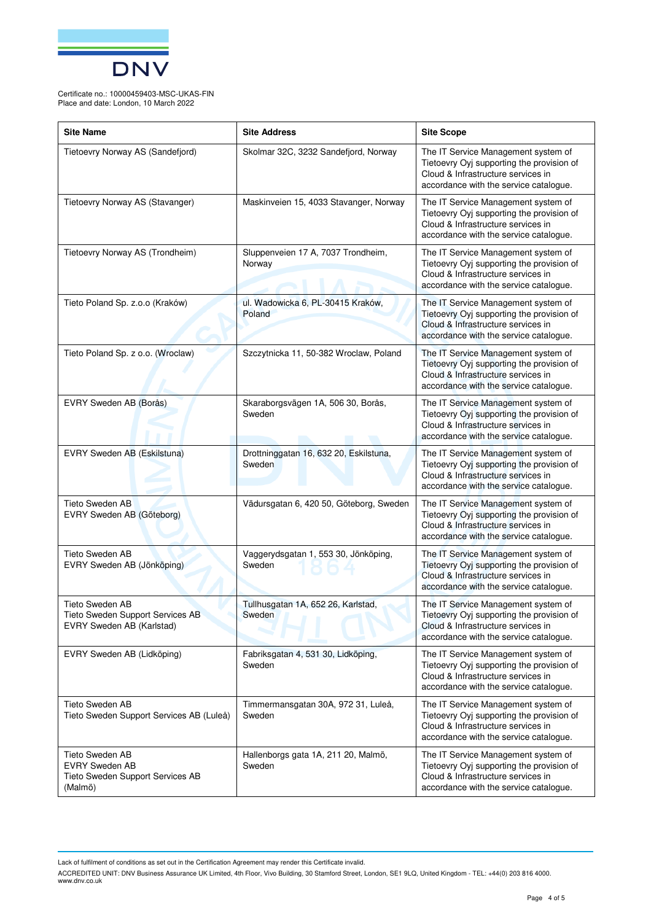

Certificate no.: 10000459403-MSC-UKAS-FIN Place and date: London, 10 March 2022

| <b>Site Name</b>                                                                        | <b>Site Address</b>                              | <b>Site Scope</b>                                                                                                                                                |
|-----------------------------------------------------------------------------------------|--------------------------------------------------|------------------------------------------------------------------------------------------------------------------------------------------------------------------|
| Tietoevry Norway AS (Sandefjord)                                                        | Skolmar 32C, 3232 Sandefjord, Norway             | The IT Service Management system of<br>Tietoevry Oyj supporting the provision of<br>Cloud & Infrastructure services in<br>accordance with the service catalogue. |
| Tietoevry Norway AS (Stavanger)                                                         | Maskinveien 15, 4033 Stavanger, Norway           | The IT Service Management system of<br>Tietoevry Oyj supporting the provision of<br>Cloud & Infrastructure services in<br>accordance with the service catalogue. |
| Tietoevry Norway AS (Trondheim)                                                         | Sluppenveien 17 A, 7037 Trondheim,<br>Norway     | The IT Service Management system of<br>Tietoevry Oyj supporting the provision of<br>Cloud & Infrastructure services in<br>accordance with the service catalogue. |
| Tieto Poland Sp. z.o.o (Kraków)                                                         | ul. Wadowicka 6, PL-30415 Kraków,<br>Poland      | The IT Service Management system of<br>Tietoevry Oyj supporting the provision of<br>Cloud & Infrastructure services in<br>accordance with the service catalogue. |
| Tieto Poland Sp. z o.o. (Wroclaw)                                                       | Szczytnicka 11, 50-382 Wroclaw, Poland           | The IT Service Management system of<br>Tietoevry Oyj supporting the provision of<br>Cloud & Infrastructure services in<br>accordance with the service catalogue. |
| EVRY Sweden AB (Borås)                                                                  | Skaraborgsvägen 1A, 506 30, Borås,<br>Sweden     | The IT Service Management system of<br>Tietoevry Oyj supporting the provision of<br>Cloud & Infrastructure services in<br>accordance with the service catalogue. |
| EVRY Sweden AB (Eskilstuna)                                                             | Drottninggatan 16, 632 20, Eskilstuna,<br>Sweden | The IT Service Management system of<br>Tietoevry Oyj supporting the provision of<br>Cloud & Infrastructure services in<br>accordance with the service catalogue. |
| Tieto Sweden AB<br>EVRY Sweden AB (Göteborg)                                            | Vädursgatan 6, 420 50, Göteborg, Sweden          | The IT Service Management system of<br>Tietoevry Oyj supporting the provision of<br>Cloud & Infrastructure services in<br>accordance with the service catalogue. |
| Tieto Sweden AB<br>EVRY Sweden AB (Jönköping)                                           | Vaggerydsgatan 1, 553 30, Jönköping,<br>Sweden   | The IT Service Management system of<br>Tietoevry Oyj supporting the provision of<br>Cloud & Infrastructure services in<br>accordance with the service catalogue. |
| <b>Tieto Sweden AB</b><br>Tieto Sweden Support Services AB<br>EVRY Sweden AB (Karlstad) | Tullhusgatan 1A, 652 26, Karlstad,<br>Sweden     | The IT Service Management system of<br>Tietoevry Oyj supporting the provision of<br>Cloud & Infrastructure services in<br>accordance with the service catalogue. |
| EVRY Sweden AB (Lidköping)                                                              | Fabriksgatan 4, 531 30, Lidköping,<br>Sweden     | The IT Service Management system of<br>Tietoevry Oyj supporting the provision of<br>Cloud & Infrastructure services in<br>accordance with the service catalogue. |
| <b>Tieto Sweden AB</b><br>Tieto Sweden Support Services AB (Luleå)                      | Timmermansgatan 30A, 972 31, Luleå,<br>Sweden    | The IT Service Management system of<br>Tietoevry Oyj supporting the provision of<br>Cloud & Infrastructure services in<br>accordance with the service catalogue. |
| Tieto Sweden AB<br><b>EVRY Sweden AB</b><br>Tieto Sweden Support Services AB<br>(Malmö) | Hallenborgs gata 1A, 211 20, Malmö,<br>Sweden    | The IT Service Management system of<br>Tietoevry Oyj supporting the provision of<br>Cloud & Infrastructure services in<br>accordance with the service catalogue. |

Lack of fulfilment of conditions as set out in the Certification Agreement may render this Certificate invalid.